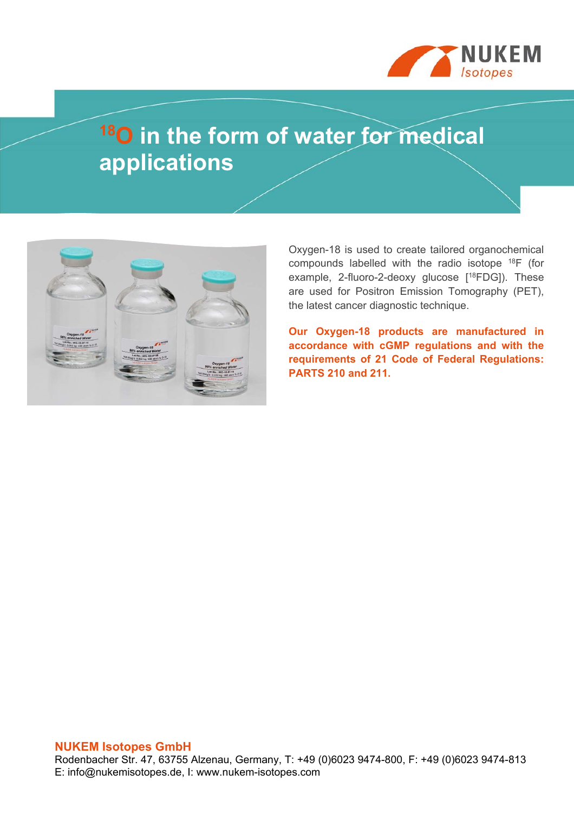

# **18O in the form of water for medical applications**



Oxygen-18 is used to create tailored organochemical compounds labelled with the radio isotope 18F (for example, 2-fluoro-2-deoxy glucose [<sup>18</sup>FDG]). These are used for Positron Emission Tomography (PET), the latest cancer diagnostic technique.

**Our Oxygen-18 products are manufactured in accordance with cGMP regulations and with the requirements of 21 Code of Federal Regulations: PARTS 210 and 211.**

#### **NUKEM Isotopes GmbH**

Rodenbacher Str. 47, 63755 Alzenau, Germany, T: +49 (0)6023 9474-800, F: +49 (0)6023 9474-813 E: info@nukemisotopes.de, I: www.nukem-isotopes.com